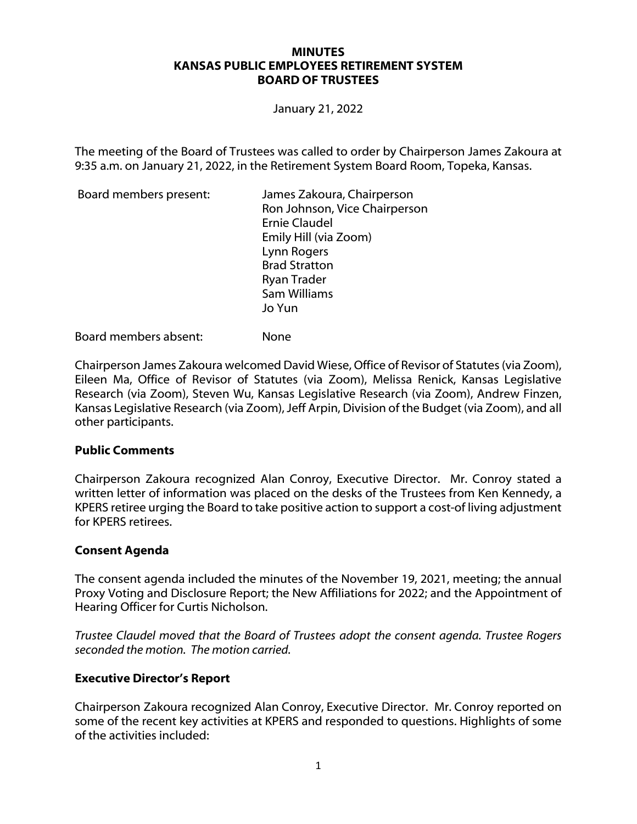#### **MINUTES KANSAS PUBLIC EMPLOYEES RETIREMENT SYSTEM BOARD OF TRUSTEES**

January 21, 2022

The meeting of the Board of Trustees was called to order by Chairperson James Zakoura at 9:35 a.m. on January 21, 2022, in the Retirement System Board Room, Topeka, Kansas.

| James Zakoura, Chairperson<br>Ron Johnson, Vice Chairperson<br><b>Ernie Claudel</b><br>Emily Hill (via Zoom)<br>Lynn Rogers<br><b>Brad Stratton</b><br><b>Ryan Trader</b> |
|---------------------------------------------------------------------------------------------------------------------------------------------------------------------------|
|                                                                                                                                                                           |
| Sam Williams                                                                                                                                                              |
| Jo Yun                                                                                                                                                                    |
|                                                                                                                                                                           |

Board members absent: None

Chairperson James Zakoura welcomed David Wiese, Office of Revisor of Statutes (via Zoom), Eileen Ma, Office of Revisor of Statutes (via Zoom), Melissa Renick, Kansas Legislative Research (via Zoom), Steven Wu, Kansas Legislative Research (via Zoom), Andrew Finzen, Kansas Legislative Research (via Zoom), Jeff Arpin, Division of the Budget (via Zoom), and all other participants.

#### **Public Comments**

Chairperson Zakoura recognized Alan Conroy, Executive Director. Mr. Conroy stated a written letter of information was placed on the desks of the Trustees from Ken Kennedy, a KPERS retiree urging the Board to take positive action to support a cost-of living adjustment for KPERS retirees.

#### **Consent Agenda**

The consent agenda included the minutes of the November 19, 2021, meeting; the annual Proxy Voting and Disclosure Report; the New Affiliations for 2022; and the Appointment of Hearing Officer for Curtis Nicholson.

*Trustee Claudel moved that the Board of Trustees adopt the consent agenda. Trustee Rogers seconded the motion. The motion carried.*

#### **Executive Director's Report**

Chairperson Zakoura recognized Alan Conroy, Executive Director. Mr. Conroy reported on some of the recent key activities at KPERS and responded to questions. Highlights of some of the activities included: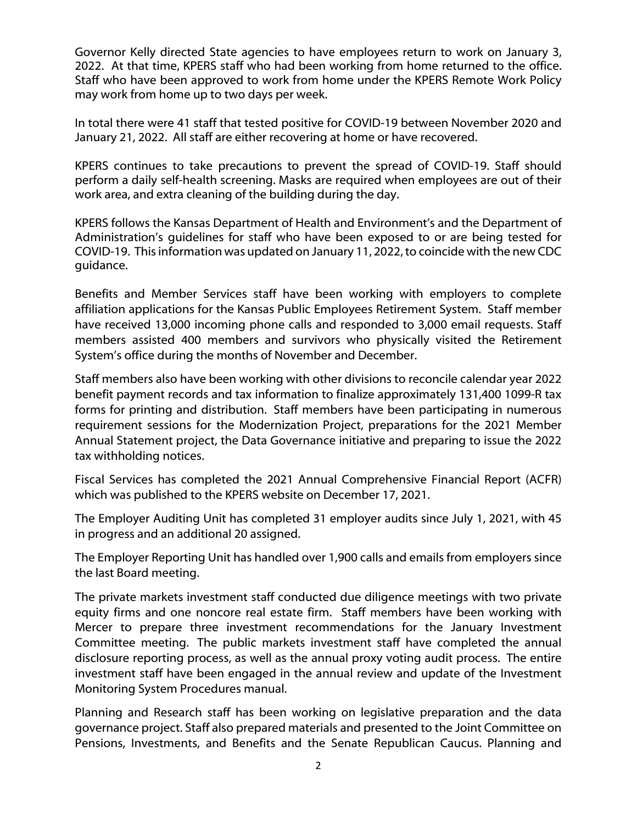Governor Kelly directed State agencies to have employees return to work on January 3, 2022. At that time, KPERS staff who had been working from home returned to the office. Staff who have been approved to work from home under the KPERS Remote Work Policy may work from home up to two days per week.

In total there were 41 staff that tested positive for COVID-19 between November 2020 and January 21, 2022. All staff are either recovering at home or have recovered.

KPERS continues to take precautions to prevent the spread of COVID-19. Staff should perform a daily self-health screening. Masks are required when employees are out of their work area, and extra cleaning of the building during the day.

KPERS follows the Kansas Department of Health and Environment's and the Department of Administration's guidelines for staff who have been exposed to or are being tested for COVID-19. This information was updated on January 11, 2022, to coincide with the new CDC guidance.

Benefits and Member Services staff have been working with employers to complete affiliation applications for the Kansas Public Employees Retirement System. Staff member have received 13,000 incoming phone calls and responded to 3,000 email requests. Staff members assisted 400 members and survivors who physically visited the Retirement System's office during the months of November and December.

Staff members also have been working with other divisions to reconcile calendar year 2022 benefit payment records and tax information to finalize approximately 131,400 1099-R tax forms for printing and distribution. Staff members have been participating in numerous requirement sessions for the Modernization Project, preparations for the 2021 Member Annual Statement project, the Data Governance initiative and preparing to issue the 2022 tax withholding notices.

Fiscal Services has completed the 2021 Annual Comprehensive Financial Report (ACFR) which was published to the KPERS website on December 17, 2021.

The Employer Auditing Unit has completed 31 employer audits since July 1, 2021, with 45 in progress and an additional 20 assigned.

The Employer Reporting Unit has handled over 1,900 calls and emails from employers since the last Board meeting.

The private markets investment staff conducted due diligence meetings with two private equity firms and one noncore real estate firm. Staff members have been working with Mercer to prepare three investment recommendations for the January Investment Committee meeting. The public markets investment staff have completed the annual disclosure reporting process, as well as the annual proxy voting audit process. The entire investment staff have been engaged in the annual review and update of the Investment Monitoring System Procedures manual.

Planning and Research staff has been working on legislative preparation and the data governance project. Staff also prepared materials and presented to the Joint Committee on Pensions, Investments, and Benefits and the Senate Republican Caucus. Planning and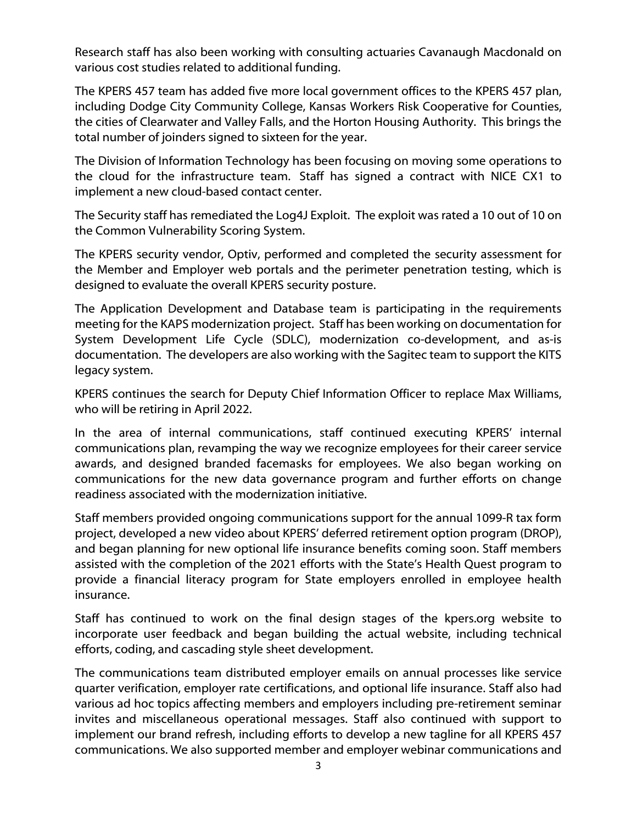Research staff has also been working with consulting actuaries Cavanaugh Macdonald on various cost studies related to additional funding.

The KPERS 457 team has added five more local government offices to the KPERS 457 plan, including Dodge City Community College, Kansas Workers Risk Cooperative for Counties, the cities of Clearwater and Valley Falls, and the Horton Housing Authority. This brings the total number of joinders signed to sixteen for the year.

The Division of Information Technology has been focusing on moving some operations to the cloud for the infrastructure team. Staff has signed a contract with NICE CX1 to implement a new cloud-based contact center.

The Security staff has remediated the Log4J Exploit. The exploit was rated a 10 out of 10 on the Common Vulnerability Scoring System.

The KPERS security vendor, Optiv, performed and completed the security assessment for the Member and Employer web portals and the perimeter penetration testing, which is designed to evaluate the overall KPERS security posture.

The Application Development and Database team is participating in the requirements meeting for the KAPS modernization project. Staff has been working on documentation for System Development Life Cycle (SDLC), modernization co-development, and as-is documentation. The developers are also working with the Sagitec team to support the KITS legacy system.

KPERS continues the search for Deputy Chief Information Officer to replace Max Williams, who will be retiring in April 2022.

In the area of internal communications, staff continued executing KPERS' internal communications plan, revamping the way we recognize employees for their career service awards, and designed branded facemasks for employees. We also began working on communications for the new data governance program and further efforts on change readiness associated with the modernization initiative.

Staff members provided ongoing communications support for the annual 1099-R tax form project, developed a new video about KPERS' deferred retirement option program (DROP), and began planning for new optional life insurance benefits coming soon. Staff members assisted with the completion of the 2021 efforts with the State's Health Quest program to provide a financial literacy program for State employers enrolled in employee health insurance.

Staff has continued to work on the final design stages of the kpers.org website to incorporate user feedback and began building the actual website, including technical efforts, coding, and cascading style sheet development.

The communications team distributed employer emails on annual processes like service quarter verification, employer rate certifications, and optional life insurance. Staff also had various ad hoc topics affecting members and employers including pre-retirement seminar invites and miscellaneous operational messages. Staff also continued with support to implement our brand refresh, including efforts to develop a new tagline for all KPERS 457 communications. We also supported member and employer webinar communications and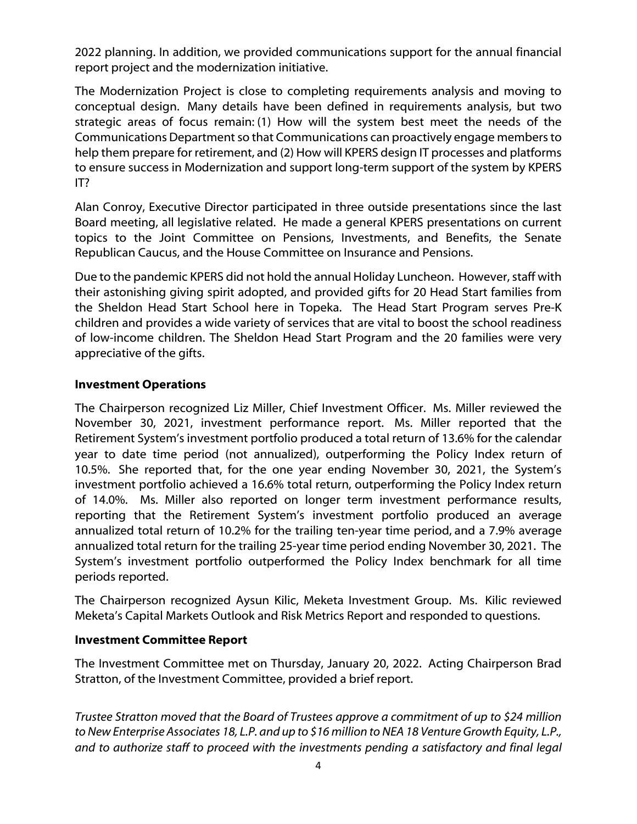2022 planning. In addition, we provided communications support for the annual financial report project and the modernization initiative.

The Modernization Project is close to completing requirements analysis and moving to conceptual design. Many details have been defined in requirements analysis, but two strategic areas of focus remain: (1) How will the system best meet the needs of the Communications Department so that Communications can proactively engage members to help them prepare for retirement, and (2) How will KPERS design IT processes and platforms to ensure success in Modernization and support long-term support of the system by KPERS IT?

Alan Conroy, Executive Director participated in three outside presentations since the last Board meeting, all legislative related. He made a general KPERS presentations on current topics to the Joint Committee on Pensions, Investments, and Benefits, the Senate Republican Caucus, and the House Committee on Insurance and Pensions.

Due to the pandemic KPERS did not hold the annual Holiday Luncheon. However, staff with their astonishing giving spirit adopted, and provided gifts for 20 Head Start families from the Sheldon Head Start School here in Topeka. The Head Start Program serves Pre-K children and provides a wide variety of services that are vital to boost the school readiness of low-income children. The Sheldon Head Start Program and the 20 families were very appreciative of the gifts.

# **Investment Operations**

The Chairperson recognized Liz Miller, Chief Investment Officer. Ms. Miller reviewed the November 30, 2021, investment performance report. Ms. Miller reported that the Retirement System's investment portfolio produced a total return of 13.6% for the calendar year to date time period (not annualized), outperforming the Policy Index return of 10.5%. She reported that, for the one year ending November 30, 2021, the System's investment portfolio achieved a 16.6% total return, outperforming the Policy Index return of 14.0%. Ms. Miller also reported on longer term investment performance results, reporting that the Retirement System's investment portfolio produced an average annualized total return of 10.2% for the trailing ten-year time period, and a 7.9% average annualized total return for the trailing 25-year time period ending November 30, 2021. The System's investment portfolio outperformed the Policy Index benchmark for all time periods reported.

The Chairperson recognized Aysun Kilic, Meketa Investment Group. Ms. Kilic reviewed Meketa's Capital Markets Outlook and Risk Metrics Report and responded to questions.

# **Investment Committee Report**

The Investment Committee met on Thursday, January 20, 2022. Acting Chairperson Brad Stratton, of the Investment Committee, provided a brief report.

*Trustee Stratton moved that the Board of Trustees approve a commitment of up to \$24 million to New Enterprise Associates 18, L.P. and up to \$16 million to NEA 18 Venture Growth Equity, L.P., and to authorize staff to proceed with the investments pending a satisfactory and final legal*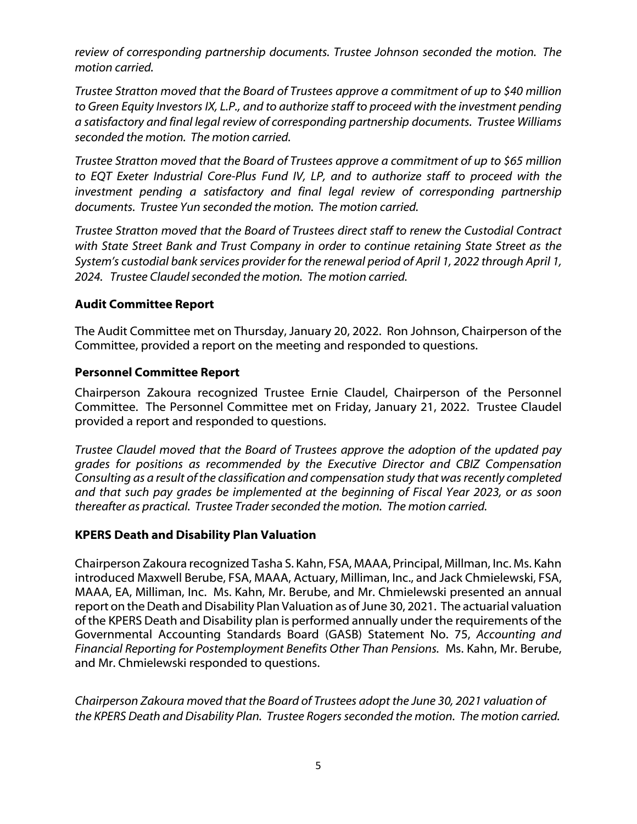*review of corresponding partnership documents. Trustee Johnson seconded the motion. The motion carried.*

*Trustee Stratton moved that the Board of Trustees approve a commitment of up to \$40 million to Green Equity Investors IX, L.P., and to authorize staff to proceed with the investment pending a satisfactory and final legal review of corresponding partnership documents. Trustee Williams seconded the motion. The motion carried.*

*Trustee Stratton moved that the Board of Trustees approve a commitment of up to \$65 million to EQT Exeter Industrial Core-Plus Fund IV, LP, and to authorize staff to proceed with the*  investment pending a satisfactory and final legal review of corresponding partnership *documents. Trustee Yun seconded the motion. The motion carried.*

*Trustee Stratton moved that the Board of Trustees direct staff to renew the Custodial Contract with State Street Bank and Trust Company in order to continue retaining State Street as the System's custodial bank services provider for the renewal period of April 1, 2022 through April 1, 2024. Trustee Claudelseconded the motion. The motion carried.*

# **Audit Committee Report**

The Audit Committee met on Thursday, January 20, 2022. Ron Johnson, Chairperson of the Committee, provided a report on the meeting and responded to questions.

# **Personnel Committee Report**

Chairperson Zakoura recognized Trustee Ernie Claudel, Chairperson of the Personnel Committee. The Personnel Committee met on Friday, January 21, 2022. Trustee Claudel provided a report and responded to questions.

*Trustee Claudel moved that the Board of Trustees approve the adoption of the updated pay grades for positions as recommended by the Executive Director and CBIZ Compensation Consulting as a result of the classification and compensation study that was recently completed and that such pay grades be implemented at the beginning of Fiscal Year 2023, or as soon thereafter as practical. Trustee Traderseconded the motion. The motion carried.*

# **KPERS Death and Disability Plan Valuation**

Chairperson Zakoura recognized Tasha S. Kahn, FSA, MAAA, Principal, Millman, Inc. Ms. Kahn introduced Maxwell Berube, FSA, MAAA, Actuary, Milliman, Inc., and Jack Chmielewski, FSA, MAAA, EA, Milliman, Inc. Ms. Kahn, Mr. Berube, and Mr. Chmielewski presented an annual report on the Death and Disability Plan Valuation as of June 30, 2021. The actuarial valuation of the KPERS Death and Disability plan is performed annually under the requirements of the Governmental Accounting Standards Board (GASB) Statement No. 75, *Accounting and Financial Reporting for Postemployment Benefits Other Than Pensions.* Ms. Kahn, Mr. Berube, and Mr. Chmielewski responded to questions.

*Chairperson Zakoura moved that the Board of Trustees adopt the June 30, 2021 valuation of the KPERS Death and Disability Plan. Trustee Rogers seconded the motion. The motion carried.*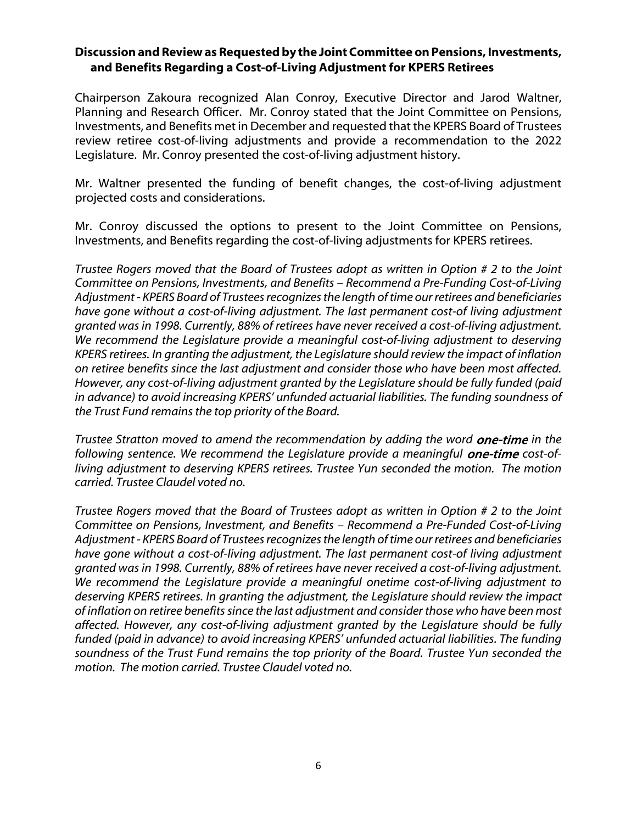# **Discussion and Review as Requested by the Joint Committee on Pensions, Investments, and Benefits Regarding a Cost-of-Living Adjustment for KPERS Retirees**

Chairperson Zakoura recognized Alan Conroy, Executive Director and Jarod Waltner, Planning and Research Officer. Mr. Conroy stated that the Joint Committee on Pensions, Investments, and Benefits met in December and requested that the KPERS Board of Trustees review retiree cost-of-living adjustments and provide a recommendation to the 2022 Legislature. Mr. Conroy presented the cost-of-living adjustment history.

Mr. Waltner presented the funding of benefit changes, the cost-of-living adjustment projected costs and considerations.

Mr. Conroy discussed the options to present to the Joint Committee on Pensions, Investments, and Benefits regarding the cost-of-living adjustments for KPERS retirees.

*Trustee Rogers moved that the Board of Trustees adopt as written in Option # 2 to the Joint Committee on Pensions, Investments, and Benefits – Recommend a Pre-Funding Cost-of-Living Adjustment - KPERS Board of Trustees recognizes the length of time our retirees and beneficiaries have gone without a cost-of-living adjustment. The last permanent cost-of living adjustment granted was in 1998. Currently, 88% of retirees have never received a cost-of-living adjustment. We recommend the Legislature provide a meaningful cost-of-living adjustment to deserving KPERS retirees. In granting the adjustment, the Legislature should review the impact of inflation on retiree benefits since the last adjustment and consider those who have been most affected. However, any cost-of-living adjustment granted by the Legislature should be fully funded (paid in advance) to avoid increasing KPERS' unfunded actuarial liabilities. The funding soundness of the Trust Fund remains the top priority of the Board.* 

*Trustee Stratton moved to amend the recommendation by adding the word* one-time *in the*  following sentence. We recommend the Legislature provide a meaningful **one-time** cost-of*living adjustment to deserving KPERS retirees. Trustee Yun seconded the motion. The motion carried. Trustee Claudel voted no.*

*Trustee Rogers moved that the Board of Trustees adopt as written in Option # 2 to the Joint Committee on Pensions, Investment, and Benefits – Recommend a Pre-Funded Cost-of-Living Adjustment - KPERS Board of Trustees recognizes the length of time our retirees and beneficiaries have gone without a cost-of-living adjustment. The last permanent cost-of living adjustment granted was in 1998. Currently, 88% of retirees have never received a cost-of-living adjustment. We recommend the Legislature provide a meaningful onetime cost-of-living adjustment to deserving KPERS retirees. In granting the adjustment, the Legislature should review the impact of inflation on retiree benefits since the last adjustment and consider those who have been most affected. However, any cost-of-living adjustment granted by the Legislature should be fully funded (paid in advance) to avoid increasing KPERS' unfunded actuarial liabilities. The funding soundness of the Trust Fund remains the top priority of the Board. Trustee Yun seconded the motion. The motion carried. Trustee Claudel voted no.*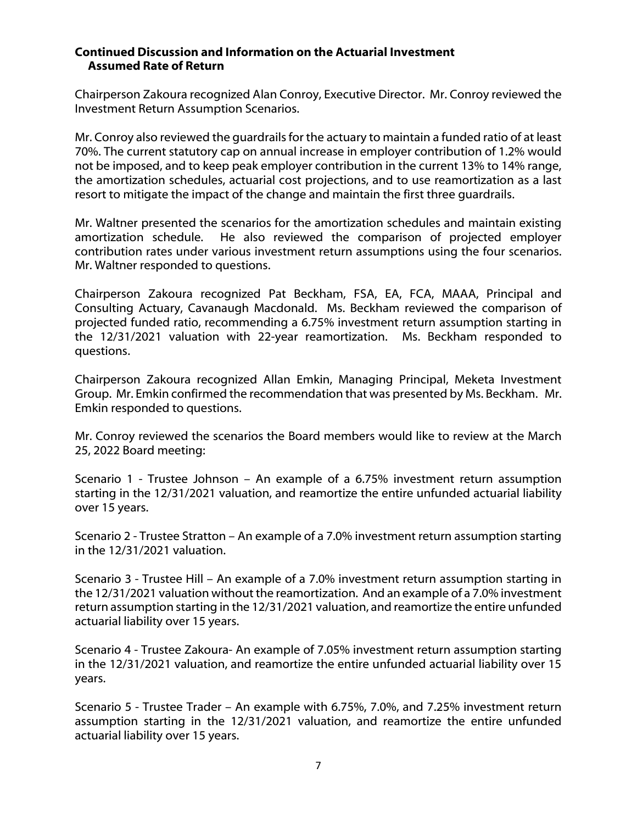### **Continued Discussion and Information on the Actuarial Investment Assumed Rate of Return**

Chairperson Zakoura recognized Alan Conroy, Executive Director. Mr. Conroy reviewed the Investment Return Assumption Scenarios.

Mr. Conroy also reviewed the guardrails for the actuary to maintain a funded ratio of at least 70%. The current statutory cap on annual increase in employer contribution of 1.2% would not be imposed, and to keep peak employer contribution in the current 13% to 14% range, the amortization schedules, actuarial cost projections, and to use reamortization as a last resort to mitigate the impact of the change and maintain the first three guardrails.

Mr. Waltner presented the scenarios for the amortization schedules and maintain existing amortization schedule. He also reviewed the comparison of projected employer contribution rates under various investment return assumptions using the four scenarios. Mr. Waltner responded to questions.

Chairperson Zakoura recognized Pat Beckham, FSA, EA, FCA, MAAA, Principal and Consulting Actuary, Cavanaugh Macdonald. Ms. Beckham reviewed the comparison of projected funded ratio, recommending a 6.75% investment return assumption starting in the 12/31/2021 valuation with 22-year reamortization. Ms. Beckham responded to questions.

Chairperson Zakoura recognized Allan Emkin, Managing Principal, Meketa Investment Group. Mr. Emkin confirmed the recommendation that was presented by Ms. Beckham. Mr. Emkin responded to questions.

Mr. Conroy reviewed the scenarios the Board members would like to review at the March 25, 2022 Board meeting:

Scenario 1 - Trustee Johnson – An example of a 6.75% investment return assumption starting in the 12/31/2021 valuation, and reamortize the entire unfunded actuarial liability over 15 years.

Scenario 2 - Trustee Stratton – An example of a 7.0% investment return assumption starting in the 12/31/2021 valuation.

Scenario 3 - Trustee Hill – An example of a 7.0% investment return assumption starting in the 12/31/2021 valuation without the reamortization. And an example of a 7.0% investment return assumption starting in the 12/31/2021 valuation, and reamortize the entire unfunded actuarial liability over 15 years.

Scenario 4 - Trustee Zakoura- An example of 7.05% investment return assumption starting in the 12/31/2021 valuation, and reamortize the entire unfunded actuarial liability over 15 years.

Scenario 5 - Trustee Trader – An example with 6.75%, 7.0%, and 7.25% investment return assumption starting in the 12/31/2021 valuation, and reamortize the entire unfunded actuarial liability over 15 years.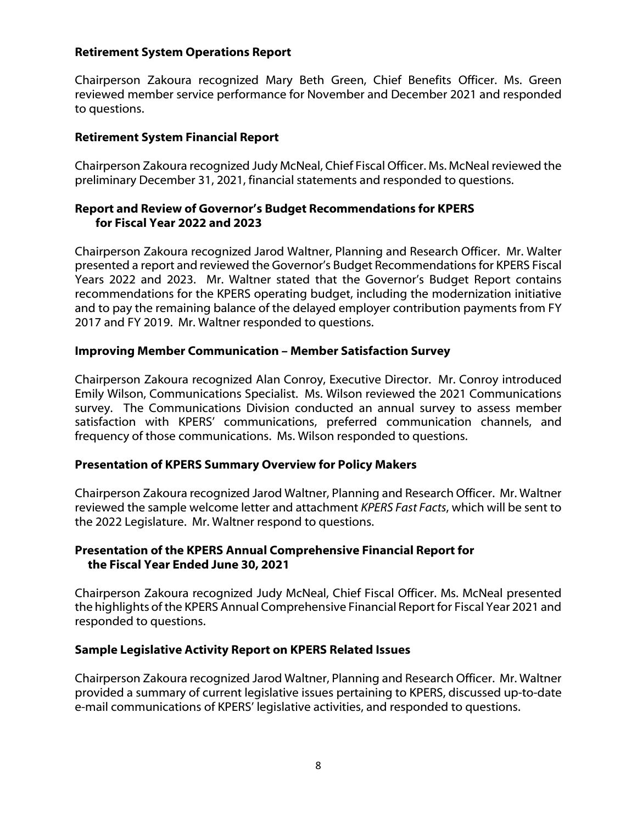## **Retirement System Operations Report**

Chairperson Zakoura recognized Mary Beth Green, Chief Benefits Officer. Ms. Green reviewed member service performance for November and December 2021 and responded to questions.

### **Retirement System Financial Report**

Chairperson Zakoura recognized Judy McNeal, Chief Fiscal Officer. Ms. McNeal reviewed the preliminary December 31, 2021, financial statements and responded to questions.

## **Report and Review of Governor's Budget Recommendations for KPERS for Fiscal Year 2022 and 2023**

Chairperson Zakoura recognized Jarod Waltner, Planning and Research Officer. Mr. Walter presented a report and reviewed the Governor's Budget Recommendations for KPERS Fiscal Years 2022 and 2023. Mr. Waltner stated that the Governor's Budget Report contains recommendations for the KPERS operating budget, including the modernization initiative and to pay the remaining balance of the delayed employer contribution payments from FY 2017 and FY 2019. Mr. Waltner responded to questions.

### **Improving Member Communication – Member Satisfaction Survey**

Chairperson Zakoura recognized Alan Conroy, Executive Director. Mr. Conroy introduced Emily Wilson, Communications Specialist. Ms. Wilson reviewed the 2021 Communications survey. The Communications Division conducted an annual survey to assess member satisfaction with KPERS' communications, preferred communication channels, and frequency of those communications. Ms. Wilson responded to questions.

#### **Presentation of KPERS Summary Overview for Policy Makers**

Chairperson Zakoura recognized Jarod Waltner, Planning and Research Officer. Mr. Waltner reviewed the sample welcome letter and attachment *KPERS Fast Facts*, which will be sent to the 2022 Legislature. Mr. Waltner respond to questions.

### **Presentation of the KPERS Annual Comprehensive Financial Report for the Fiscal Year Ended June 30, 2021**

Chairperson Zakoura recognized Judy McNeal, Chief Fiscal Officer. Ms. McNeal presented the highlights of the KPERS Annual Comprehensive Financial Report for Fiscal Year 2021 and responded to questions.

# **Sample Legislative Activity Report on KPERS Related Issues**

Chairperson Zakoura recognized Jarod Waltner, Planning and Research Officer. Mr. Waltner provided a summary of current legislative issues pertaining to KPERS, discussed up-to-date e-mail communications of KPERS' legislative activities, and responded to questions.